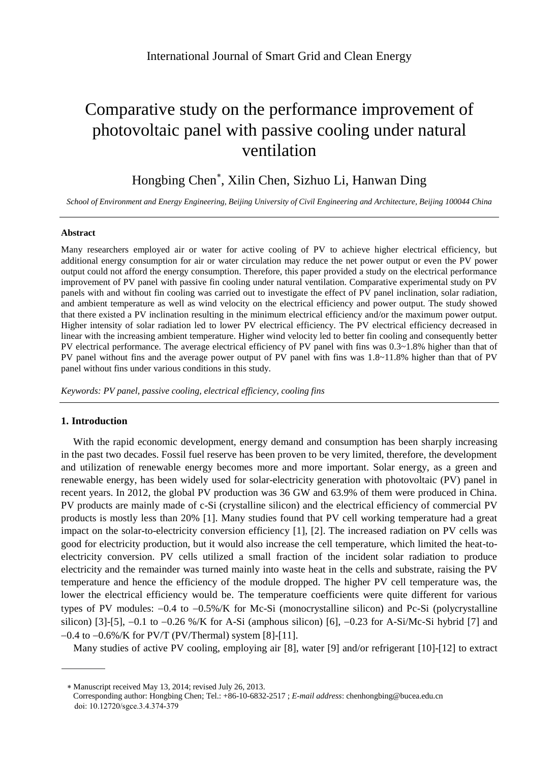# Comparative study on the performance improvement of photovoltaic panel with passive cooling under natural ventilation

# Hongbing Chen , Xilin Chen, Sizhuo Li, Hanwan Ding

*School of Environment and Energy Engineering, Beijing University of Civil Engineering and Architecture, Beijing 100044 China*

#### **Abstract**

Many researchers employed air or water for active cooling of PV to achieve higher electrical efficiency, but additional energy consumption for air or water circulation may reduce the net power output or even the PV power output could not afford the energy consumption. Therefore, this paper provided a study on the electrical performance improvement of PV panel with passive fin cooling under natural ventilation. Comparative experimental study on PV panels with and without fin cooling was carried out to investigate the effect of PV panel inclination, solar radiation, and ambient temperature as well as wind velocity on the electrical efficiency and power output. The study showed that there existed a PV inclination resulting in the minimum electrical efficiency and/or the maximum power output. Higher intensity of solar radiation led to lower PV electrical efficiency. The PV electrical efficiency decreased in linear with the increasing ambient temperature. Higher wind velocity led to better fin cooling and consequently better PV electrical performance. The average electrical efficiency of PV panel with fins was 0.3~1.8% higher than that of PV panel without fins and the average power output of PV panel with fins was 1.8~11.8% higher than that of PV panel without fins under various conditions in this study.

*Keywords: PV panel, passive cooling, electrical efficiency, cooling fins*

#### **1. Introduction**

With the rapid economic development, energy demand and consumption has been sharply increasing in the past two decades. Fossil fuel reserve has been proven to be very limited, therefore, the development and utilization of renewable energy becomes more and more important. Solar energy, as a green and renewable energy, has been widely used for solar-electricity generation with photovoltaic (PV) panel in recent years. In 2012, the global PV production was 36 GW and 63.9% of them were produced in China. PV products are mainly made of c-Si (crystalline silicon) and the electrical efficiency of commercial PV products is mostly less than 20% [1]. Many studies found that PV cell working temperature had a great impact on the solar-to-electricity conversion efficiency [1], [2]. The increased radiation on PV cells was good for electricity production, but it would also increase the cell temperature, which limited the heat-toelectricity conversion. PV cells utilized a small fraction of the incident solar radiation to produce electricity and the remainder was turned mainly into waste heat in the cells and substrate, raising the PV temperature and hence the efficiency of the module dropped. The higher PV cell temperature was, the lower the electrical efficiency would be. The temperature coefficients were quite different for various types of PV modules:  $-0.4$  to  $-0.5\%$ /K for Mc-Si (monocrystalline silicon) and Pc-Si (polycrystalline silicon) [3]-[5],  $-0.1$  to  $-0.26$  %/K for A-Si (amphous silicon) [6],  $-0.23$  for A-Si/Mc-Si hybrid [7] and  $-0.4$  to  $-0.6\%$ /K for PV/T (PV/Thermal) system [8]-[11].

Many studies of active PV cooling, employing air [8], water [9] and/or refrigerant [10]-[12] to extract

Manuscript received May 13, 2014; revised July 26, 2013.

Corresponding author: Hongbing Chen; Tel.: +86-10-6832-2517 ; *E-mail address*[: chenhongbing@bucea.edu.cn](mailto:chenhongbing@bucea.edu.cn) doi: 10.12720/sgce.3.4.374-379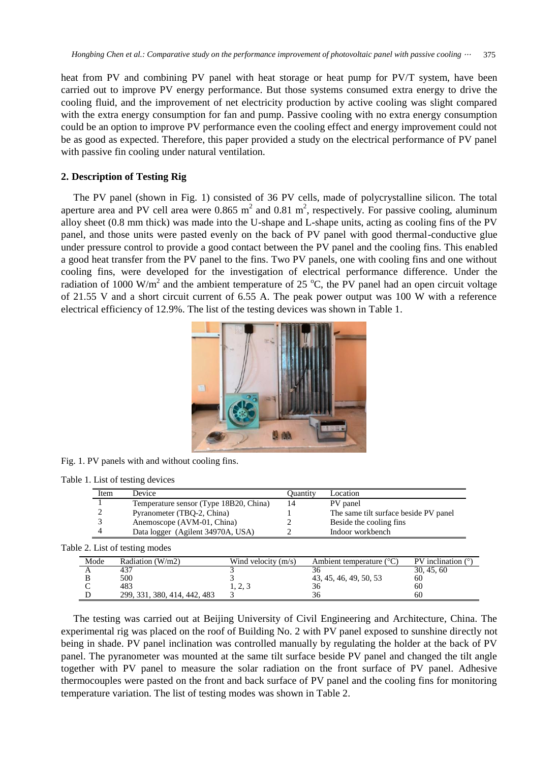heat from PV and combining PV panel with heat storage or heat pump for PV/T system, have been carried out to improve PV energy performance. But those systems consumed extra energy to drive the cooling fluid, and the improvement of net electricity production by active cooling was slight compared with the extra energy consumption for fan and pump. Passive cooling with no extra energy consumption could be an option to improve PV performance even the cooling effect and energy improvement could not be as good as expected. Therefore, this paper provided a study on the electrical performance of PV panel with passive fin cooling under natural ventilation.

## **2. Description of Testing Rig**

The PV panel (shown in Fig. 1) consisted of 36 PV cells, made of polycrystalline silicon. The total aperture area and PV cell area were  $0.865 \text{ m}^2$  and  $0.81 \text{ m}^2$ , respectively. For passive cooling, aluminum alloy sheet (0.8 mm thick) was made into the U-shape and L-shape units, acting as cooling fins of the PV panel, and those units were pasted evenly on the back of PV panel with good thermal-conductive glue under pressure control to provide a good contact between the PV panel and the cooling fins. This enabled a good heat transfer from the PV panel to the fins. Two PV panels, one with cooling fins and one without cooling fins, were developed for the investigation of electrical performance difference. Under the radiation of 1000 W/m<sup>2</sup> and the ambient temperature of 25  $^{\circ}$ C, the PV panel had an open circuit voltage of 21.55 V and a short circuit current of 6.55 A. The peak power output was 100 W with a reference electrical efficiency of 12.9%. The list of the testing devices was shown in Table 1.



Fig. 1. PV panels with and without cooling fins.

Table 1. List of testing devices

| Item | Device                                 | Ouantitv | Location                              |
|------|----------------------------------------|----------|---------------------------------------|
|      | Temperature sensor (Type 18B20, China) | 14       | PV panel                              |
|      | Pyranometer (TBO-2, China)             |          | The same tilt surface beside PV panel |
|      | Anemoscope (AVM-01, China)             |          | Beside the cooling fins               |
|      | Data logger (Agilent 34970A, USA)      |          | Indoor workbench                      |

Table 2. List of testing modes

| Mode | Radiation (W/m2)             | Wind velocity $(m/s)$ | Ambient temperature $(^{\circ}C)$ | PV inclination $(°)$ |
|------|------------------------------|-----------------------|-----------------------------------|----------------------|
|      | 437                          |                       |                                   | 30, 45, 60           |
|      | 500                          |                       | 43, 45, 46, 49, 50, 53            | 60                   |
|      | 483                          | ل دے دا               | 36                                | 60                   |
|      | 299, 331, 380, 414, 442, 483 |                       | 36                                | 60                   |

The testing was carried out at Beijing University of Civil Engineering and Architecture, China. The experimental rig was placed on the roof of Building No. 2 with PV panel exposed to sunshine directly not being in shade. PV panel inclination was controlled manually by regulating the holder at the back of PV panel. The pyranometer was mounted at the same tilt surface beside PV panel and changed the tilt angle together with PV panel to measure the solar radiation on the front surface of PV panel. Adhesive thermocouples were pasted on the front and back surface of PV panel and the cooling fins for monitoring temperature variation. The list of testing modes was shown in Table 2.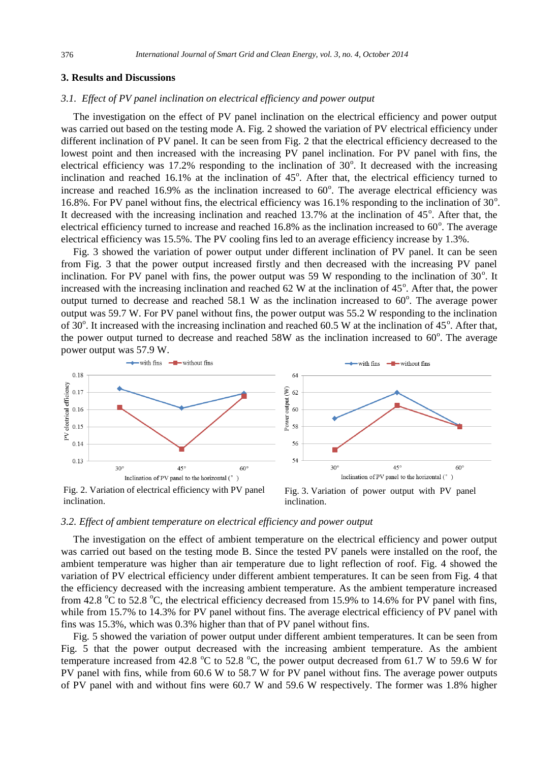#### **3. Results and Discussions**

## *3.1. Effect of PV panel inclination on electrical efficiency and power output*

The investigation on the effect of PV panel inclination on the electrical efficiency and power output was carried out based on the testing mode A. Fig. 2 showed the variation of PV electrical efficiency under different inclination of PV panel. It can be seen from Fig. 2 that the electrical efficiency decreased to the lowest point and then increased with the increasing PV panel inclination. For PV panel with fins, the electrical efficiency was 17.2% responding to the inclination of  $30^\circ$ . It decreased with the increasing inclination and reached  $16.1\%$  at the inclination of  $45^\circ$ . After that, the electrical efficiency turned to increase and reached  $16.9\%$  as the inclination increased to  $60^\circ$ . The average electrical efficiency was 16.8%. For PV panel without fins, the electrical efficiency was 16.1% responding to the inclination of 30°. It decreased with the increasing inclination and reached  $13.7\%$  at the inclination of  $45^\circ$ . After that, the electrical efficiency turned to increase and reached 16.8% as the inclination increased to  $60^{\circ}$ . The average electrical efficiency was 15.5%. The PV cooling fins led to an average efficiency increase by 1.3%.

Fig. 3 showed the variation of power output under different inclination of PV panel. It can be seen from Fig. 3 that the power output increased firstly and then decreased with the increasing PV panel inclination. For PV panel with fins, the power output was 59 W responding to the inclination of  $30^\circ$ . It increased with the increasing inclination and reached  $62 \text{ W}$  at the inclination of  $45^\circ$ . After that, the power output turned to decrease and reached  $58.1 \text{ W}$  as the inclination increased to  $60^{\circ}$ . The average power output was 59.7 W. For PV panel without fins, the power output was 55.2 W responding to the inclination of 30 $^{\circ}$ . It increased with the increasing inclination and reached 60.5 W at the inclination of 45 $^{\circ}$ . After that, the power output turned to decrease and reached  $58W$  as the inclination increased to  $60^\circ$ . The average power output was 57.9 W.



inclination.

inclination.

#### *3.2. Effect of ambient temperature on electrical efficiency and power output*

The investigation on the effect of ambient temperature on the electrical efficiency and power output was carried out based on the testing mode B. Since the tested PV panels were installed on the roof, the ambient temperature was higher than air temperature due to light reflection of roof. Fig. 4 showed the variation of PV electrical efficiency under different ambient temperatures. It can be seen from Fig. 4 that the efficiency decreased with the increasing ambient temperature. As the ambient temperature increased from 42.8 °C to 52.8 °C, the electrical efficiency decreased from 15.9% to 14.6% for PV panel with fins, while from 15.7% to 14.3% for PV panel without fins. The average electrical efficiency of PV panel with fins was 15.3%, which was 0.3% higher than that of PV panel without fins.

Fig. 5 showed the variation of power output under different ambient temperatures. It can be seen from Fig. 5 that the power output decreased with the increasing ambient temperature. As the ambient temperature increased from 42.8  $\degree$ C to 52.8  $\degree$ C, the power output decreased from 61.7 W to 59.6 W for PV panel with fins, while from 60.6 W to 58.7 W for PV panel without fins. The average power outputs of PV panel with and without fins were 60.7 W and 59.6 W respectively. The former was 1.8% higher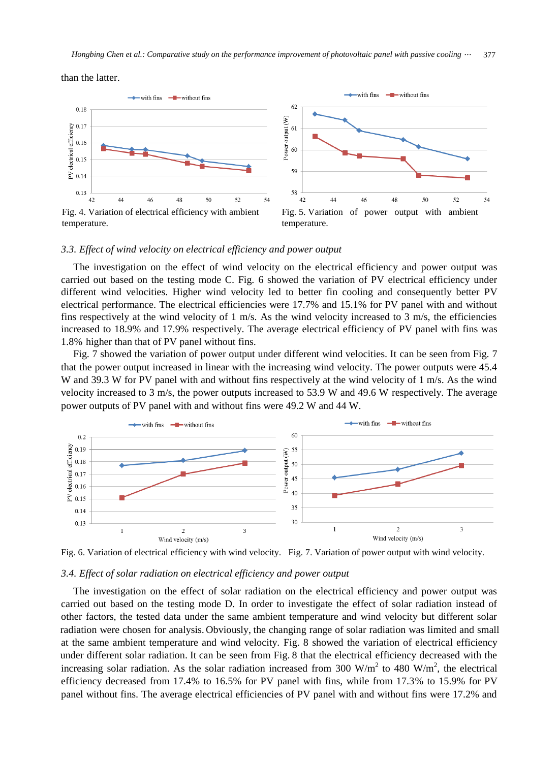than the latter.



#### *3.3. Effect of wind velocity on electrical efficiency and power output*

The investigation on the effect of wind velocity on the electrical efficiency and power output was carried out based on the testing mode C. Fig. 6 showed the variation of PV electrical efficiency under different wind velocities. Higher wind velocity led to better fin cooling and consequently better PV electrical performance. The electrical efficiencies were 17.7% and 15.1% for PV panel with and without fins respectively at the wind velocity of 1 m/s. As the wind velocity increased to 3 m/s, the efficiencies increased to 18.9% and 17.9% respectively. The average electrical efficiency of PV panel with fins was 1.8% higher than that of PV panel without fins.

Fig. 7 showed the variation of power output under different wind velocities. It can be seen from Fig. 7 that the power output increased in linear with the increasing wind velocity. The power outputs were 45.4 W and 39.3 W for PV panel with and without fins respectively at the wind velocity of 1 m/s. As the wind velocity increased to 3 m/s, the power outputs increased to 53.9 W and 49.6 W respectively. The average power outputs of PV panel with and without fins were 49.2 W and 44 W.



Fig. 6. Variation of electrical efficiency with wind velocity. Fig. 7. Variation of power output with wind velocity.

#### *3.4. Effect of solar radiation on electrical efficiency and power output*

The investigation on the effect of solar radiation on the electrical efficiency and power output was carried out based on the testing mode D. In order to investigate the effect of solar radiation instead of other factors, the tested data under the same ambient temperature and wind velocity but different solar at the same ambient temperature and wind velocity. Fig. 8 showed the variation of electrical efficiency under different solar radiation. It can be seen from Fig. 8 that the electrical efficiency decreased with the increasing solar radiation. As the solar radiation increased from 300 W/m<sup>2</sup> to 480 W/m<sup>2</sup>, the electrical efficiency decreased from 17.4% to 16.5% for PV panel with fins, while from 17.3% to 15.9% for PV panel without fins. The average electrical efficiencies of PV panel with and without fins were 17.2% and radiation were chosen for analysis. Obviously, the changing range of solar radiation was limited and small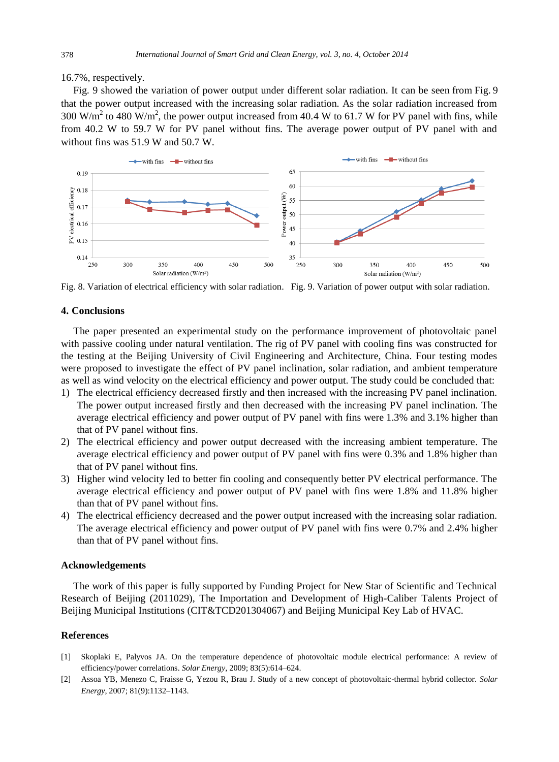16.7%, respectively.

Fig. 9 showed the variation of power output under different solar radiation. It can be seen from Fig. 9 that the power output increased with the increasing solar radiation. As the solar radiation increased from 300 W/m<sup>2</sup> to 480 W/m<sup>2</sup>, the power output increased from 40.4 W to 61.7 W for PV panel with fins, while from 40.2 W to 59.7 W for PV panel without fins. The average power output of PV panel with and without fins was 51.9 W and 50.7 W.



Fig. 8. Variation of electrical efficiency with solar radiation. Fig. 9. Variation of power output with solar radiation.

#### **4. Conclusions**

The paper presented an experimental study on the performance improvement of photovoltaic panel with passive cooling under natural ventilation. The rig of PV panel with cooling fins was constructed for the testing at the Beijing University of Civil Engineering and Architecture, China. Four testing modes were proposed to investigate the effect of PV panel inclination, solar radiation, and ambient temperature as well as wind velocity on the electrical efficiency and power output. The study could be concluded that:

- 1) The electrical efficiency decreased firstly and then increased with the increasing PV panel inclination. The power output increased firstly and then decreased with the increasing PV panel inclination. The average electrical efficiency and power output of PV panel with fins were 1.3% and 3.1% higher than that of PV panel without fins.
- 2) The electrical efficiency and power output decreased with the increasing ambient temperature. The average electrical efficiency and power output of PV panel with fins were 0.3% and 1.8% higher than that of PV panel without fins.
- 3) Higher wind velocity led to better fin cooling and consequently better PV electrical performance. The average electrical efficiency and power output of PV panel with fins were 1.8% and 11.8% higher than that of PV panel without fins.
- 4) The electrical efficiency decreased and the power output increased with the increasing solar radiation. The average electrical efficiency and power output of PV panel with fins were 0.7% and 2.4% higher than that of PV panel without fins.

#### **Acknowledgements**

The work of this paper is fully supported by Funding Project for New Star of Scientific and Technical Research of Beijing (2011029), The Importation and Development of High-Caliber Talents Project of Beijing Municipal Institutions (CIT&TCD201304067) and Beijing Municipal Key Lab of HVAC.

#### **References**

- [1] Skoplaki E, Palyvos JA. On the temperature dependence of photovoltaic module electrical performance: A review of efficiency/power correlations. *Solar Energy*, 2009; 83(5):614–624.
- [2] Assoa YB, Menezo C, Fraisse G, Yezou R, Brau J. Study of a new concept of photovoltaic-thermal hybrid collector. *Solar Energy*, 2007; 81(9):1132–1143.